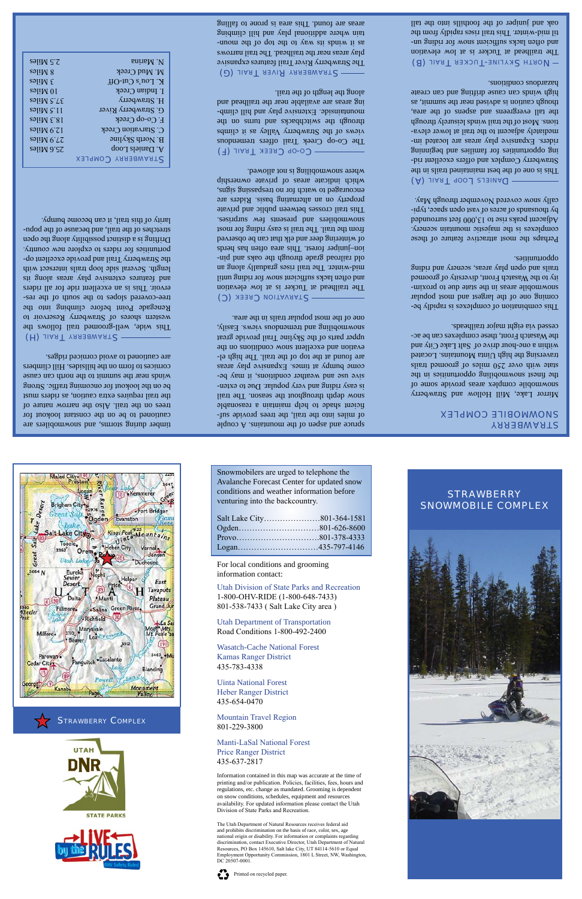timber during storms, and snowmobilers are cautioned to be on the constant lookout for trees on the trail. Also the narrow nature of the trail requires extra caution, as riders must be on the lookout for oncoming traffic. Strong winds near the summit to the north can cause cornices to form on the hillsides. Hill climbers are cautioned to avoid corniced ridges.

#### (H) JIART YRRERRY STRAIL

This wide, well-groomed trail follows the western shores of Strawberry Reservoir to Renegade Point before climbing into the tree-covered slopes to the south of the reservoir. This is an excellent ride for all riders and features extensive play areas along its length. Several side loop trails intersect with the Strawberry Trail and provide excellent opportunities for riders to explore new country. Drifting is a distinct possibility along the open stretches of the trail, and because of the popularity of this trail, it can become bumpy.

spruce and aspen of the mountains. A couple - of miles into the trail, the trees provide suf ficient shade to help maintain a reasonable snow depth throughout the season. The trail is easy riding and very popular. Due to extensive use and weather conditions, it may become bumpy at times. Expansive play areas are found at the top of then trail. The high elevation and excellent snow conditions on the upper parts of the Skyline Trail provide great snowmobiling and tremendous views. Easily, one of the most popular trails in the area.

### STARVATION CREEK (C)

| 2.5 Miles                       | <b>Eningly</b> . V        |
|---------------------------------|---------------------------|
|                                 |                           |
| 8 Miles                         | M. Mud Creek              |
| $3$ Miles                       | $K$ . Lou's Cut-Off       |
| 10 Miles                        | I. Indian Creek           |
| $S$ J $\dot{I}$ N $\dot{S}$ .75 | H. Strawberry             |
| $s$ əli $M \sim 11$             | G. Strawberry River       |
| 18.3 Miles                      | F. Co-op Creek            |
| $12.9$ Miles                    | C. Starvation Creek       |
| səliM 6.72                      | <b>B.</b> North Skyline   |
| S5.6 Miles                      | A. Daniels Loop           |
|                                 | <b>STRAWBERRY COMPLEX</b> |

CO-OP CREEK TRAIL (F) The Co-op Creek Trail offers tremendous views of the Strawberry Valley as it climbs through the switchbacks and the switch mountainside. Extensive play and hill climbing areas are available near the trailhead and along the length of the trail.

STRAWBERRY RIVER TRAIL (G) The Strawberry River Trail features expansive play areas near the trailhead. The trail narrows as it winds its way to the top of the mountain where additional play and hill climbing areas are found. This area is prone to falling

> This combination of complexes is rapidly becoming one of the largest and most popular snowmobile areas in the state due to proximity to the Wasatch Front, diversity of groomed trails and open play areas, scenery and riding opportunities.

The trailhead at Tucker is at low elevation and often lacks sufficient snow for riding until mid-winter. The trail rises gradually along an - old railroad grade through the oaks and pin ion–juniper forest. This area often has herds of wintering deer and elk that can be observed from the trail. The trail is easy riding for most sosinquus wel and presents we surprises. This trail crosses between public and private property on an alternating basis. Riders are encouraged to watch for no trespassing signs, which indicate areas of private ownership where snowmobiling is not allowed.

DANIELS LOOP TRAIL (A) This is one of the best maintained trails in the Strawberry Complex and offers excellent riding opportunities for families and beginning riders. Expansive play areas are located immediately adjacent to the trail at lower elevations. Most of the trail winds leisurely through the tall evergreens and aspens of the area, though caution is advised near the summit, as high winds can canee quiting and can create hazardous conditions.

- North Skyline-Tucker Trail (B) The trailhead at Tucker is at low elevation and often lacks subjects when the sum supports on a sum support in Suite and Suite and Suite Suite Suite Suite til mid-winter. This tils trail rises rapidly from the oak and juniper of the foothills into the tall

# **STRAWBERRY** snowmobile complex

## strawberry snowmobile complex

Mirror Lake, Mill Hollow and Strawberry snowmobile complex areas provide some of the finest snowmobilide supporting in the setting of the setting in the setting in the setting in the setting state with over 250 miles of groomed trails traversing the high Uinta Mountains. Located within a one-hour drive of Salt Lake City and the Wasatch Front, these complexes can be accessed via eight major trailheads.

Perhaps the most attractive feature of these complexes is the majestic mountain scenery. Adjacent peaks rise to  $13,000,51$  or  $\epsilon$ by thousands of acres of vast open space, typically snow covered November through May.

Snowmobilers are urged to telephone the Avalanche Forecast Center for updated snow conditions and weather information before venturing into the backcountry.



| $\ldots$ |  |
|----------|--|
|          |  |
|          |  |
|          |  |
|          |  |

For local conditions and grooming information contact:

Utah Division of State Parks and Recreation 1-800-OHV-RIDE (1-800-648-7433) 801-538-7433 ( Salt Lake City area )

Utah Department of Transportation Road Conditions 1-800-492-2400



Wasatch-Cache National Forest Kamas Ranger District

# 435-783-4338

Uinta National Forest Heber Ranger District 435-654-0470

Mountain Travel Region 801-229-3800

### Manti-LaSal National Forest Price Ranger District 435-637-2817

Information contained in this map was accurate at the time of printing and/or publication. Policies, facilities, fees, hours and regulations, etc. change as mandated. Grooming is dependent on snow conditions, schedules, equipment and resources availability. For updated information please contact the Utah Division of State Parks and Recreation.

The Utah Department of Natural Resources receives federal aid and prohibits discrimination on the basis of race, color, sex, age national origin or disability. For information or complaints regarding discrimination, contact Executive Director, Utah Department of Natural Resources, PO Box 145610, Salt lake City, UT 84114-5610 or Equal Employment Opportunity Commission, 1801 L Street, NW, Washington, DC 20507-0001.

Printed on recycled paper.